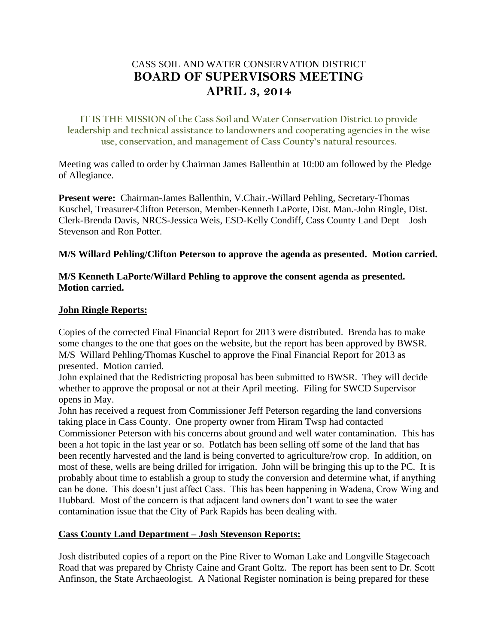# CASS SOIL AND WATER CONSERVATION DISTRICT **BOARD OF SUPERVISORS MEETING APRIL 3, 2014**

**IT IS THE MISSION of the Cass Soil and Water Conservation District to provide leadership and technical assistance to landowners and cooperating agencies in the wise use, conservation, and management of Cass County's natural resources.**

Meeting was called to order by Chairman James Ballenthin at 10:00 am followed by the Pledge of Allegiance.

**Present were:** Chairman-James Ballenthin, V.Chair.-Willard Pehling, Secretary-Thomas Kuschel, Treasurer-Clifton Peterson, Member-Kenneth LaPorte, Dist. Man.-John Ringle, Dist. Clerk-Brenda Davis, NRCS-Jessica Weis, ESD-Kelly Condiff, Cass County Land Dept – Josh Stevenson and Ron Potter.

#### **M/S Willard Pehling/Clifton Peterson to approve the agenda as presented. Motion carried.**

#### **M/S Kenneth LaPorte/Willard Pehling to approve the consent agenda as presented. Motion carried.**

#### **John Ringle Reports:**

Copies of the corrected Final Financial Report for 2013 were distributed. Brenda has to make some changes to the one that goes on the website, but the report has been approved by BWSR. M/S Willard Pehling/Thomas Kuschel to approve the Final Financial Report for 2013 as presented. Motion carried.

John explained that the Redistricting proposal has been submitted to BWSR. They will decide whether to approve the proposal or not at their April meeting. Filing for SWCD Supervisor opens in May.

John has received a request from Commissioner Jeff Peterson regarding the land conversions taking place in Cass County. One property owner from Hiram Twsp had contacted Commissioner Peterson with his concerns about ground and well water contamination. This has been a hot topic in the last year or so. Potlatch has been selling off some of the land that has been recently harvested and the land is being converted to agriculture/row crop. In addition, on most of these, wells are being drilled for irrigation. John will be bringing this up to the PC. It is probably about time to establish a group to study the conversion and determine what, if anything can be done. This doesn't just affect Cass. This has been happening in Wadena, Crow Wing and Hubbard. Most of the concern is that adjacent land owners don't want to see the water contamination issue that the City of Park Rapids has been dealing with.

## **Cass County Land Department – Josh Stevenson Reports:**

Josh distributed copies of a report on the Pine River to Woman Lake and Longville Stagecoach Road that was prepared by Christy Caine and Grant Goltz. The report has been sent to Dr. Scott Anfinson, the State Archaeologist. A National Register nomination is being prepared for these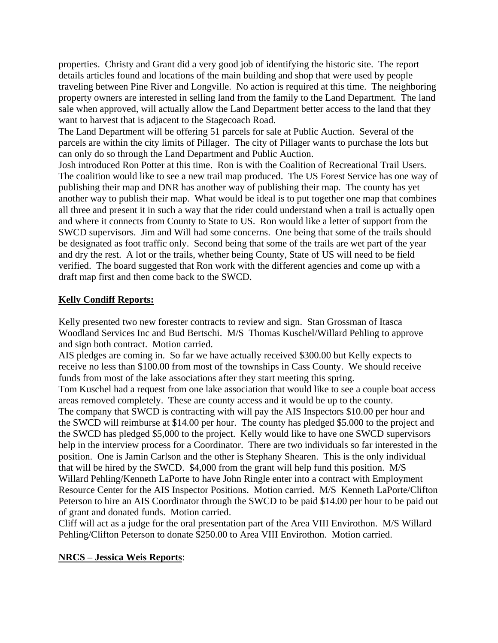properties. Christy and Grant did a very good job of identifying the historic site. The report details articles found and locations of the main building and shop that were used by people traveling between Pine River and Longville. No action is required at this time. The neighboring property owners are interested in selling land from the family to the Land Department. The land sale when approved, will actually allow the Land Department better access to the land that they want to harvest that is adjacent to the Stagecoach Road.

The Land Department will be offering 51 parcels for sale at Public Auction. Several of the parcels are within the city limits of Pillager. The city of Pillager wants to purchase the lots but can only do so through the Land Department and Public Auction.

Josh introduced Ron Potter at this time. Ron is with the Coalition of Recreational Trail Users. The coalition would like to see a new trail map produced. The US Forest Service has one way of publishing their map and DNR has another way of publishing their map. The county has yet another way to publish their map. What would be ideal is to put together one map that combines all three and present it in such a way that the rider could understand when a trail is actually open and where it connects from County to State to US. Ron would like a letter of support from the SWCD supervisors. Jim and Will had some concerns. One being that some of the trails should be designated as foot traffic only. Second being that some of the trails are wet part of the year and dry the rest. A lot or the trails, whether being County, State of US will need to be field verified. The board suggested that Ron work with the different agencies and come up with a draft map first and then come back to the SWCD.

## **Kelly Condiff Reports:**

Kelly presented two new forester contracts to review and sign. Stan Grossman of Itasca Woodland Services Inc and Bud Bertschi. M/S Thomas Kuschel/Willard Pehling to approve and sign both contract. Motion carried.

AIS pledges are coming in. So far we have actually received \$300.00 but Kelly expects to receive no less than \$100.00 from most of the townships in Cass County. We should receive funds from most of the lake associations after they start meeting this spring.

Tom Kuschel had a request from one lake association that would like to see a couple boat access areas removed completely. These are county access and it would be up to the county. The company that SWCD is contracting with will pay the AIS Inspectors \$10.00 per hour and the SWCD will reimburse at \$14.00 per hour. The county has pledged \$5.000 to the project and the SWCD has pledged \$5,000 to the project. Kelly would like to have one SWCD supervisors help in the interview process for a Coordinator. There are two individuals so far interested in the position. One is Jamin Carlson and the other is Stephany Shearen. This is the only individual that will be hired by the SWCD. \$4,000 from the grant will help fund this position. M/S Willard Pehling/Kenneth LaPorte to have John Ringle enter into a contract with Employment Resource Center for the AIS Inspector Positions. Motion carried. M/S Kenneth LaPorte/Clifton Peterson to hire an AIS Coordinator through the SWCD to be paid \$14.00 per hour to be paid out of grant and donated funds. Motion carried.

Cliff will act as a judge for the oral presentation part of the Area VIII Envirothon. M/S Willard Pehling/Clifton Peterson to donate \$250.00 to Area VIII Envirothon. Motion carried.

## **NRCS – Jessica Weis Reports**: